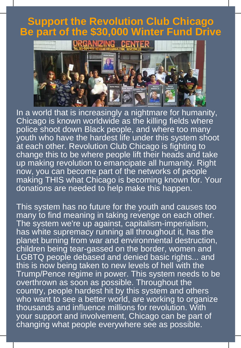## **Support the Revolution Club Chicago Be part of the \$30,000 Winter Fund Drive**



In a world that is increasingly a nightmare for humanity, Chicago is known worldwide as the killing fields where police shoot down Black people, and where too many youth who have the hardest life under this system shoot at each other. Revolution Club Chicago is fighting to change this to be where people lift their heads and take up making revolution to emancipate all humanity. Right now, you can become part of the networks of people making THIS what Chicago is becoming known for. Your donations are needed to help make this happen.

This system has no future for the youth and causes too many to find meaning in taking revenge on each other. The system we're up against, capitalism-imperialism, has white supremacy running all throughout it, has the planet burning from war and environmental destruction, children being tear-gassed on the border, women and LGBTQ people debased and denied basic rights... and this is now being taken to new levels of hell with the Trump/Pence regime in power. This system needs to be overthrown as soon as possible. Throughout the country, people hardest hit by this system and others who want to see a better world, are working to organize thousands and influence millions for revolution. With your support and involvement, Chicago can be part of changing what people everywhere see as possible.